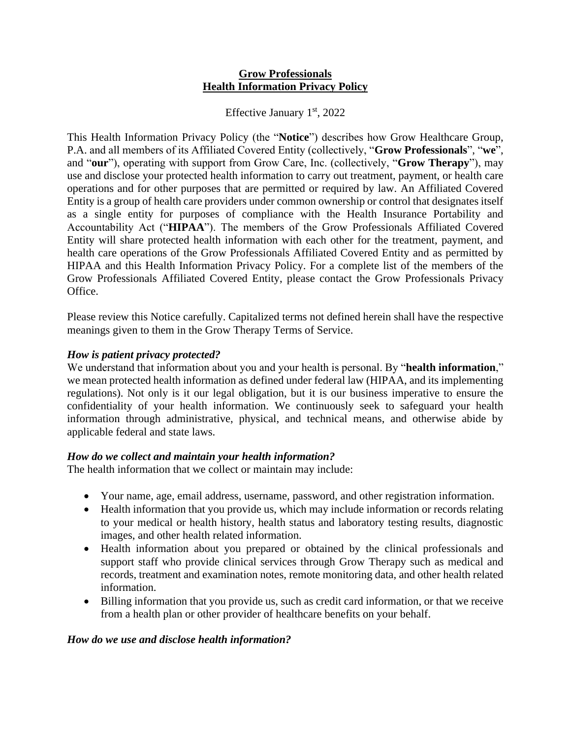#### **Grow Professionals Health Information Privacy Policy**

Effective January  $1<sup>st</sup>$ , 2022

This Health Information Privacy Policy (the "**Notice**") describes how Grow Healthcare Group, P.A. and all members of its Affiliated Covered Entity (collectively, "**Grow Professionals**", "**we**", and "**our**"), operating with support from Grow Care, Inc. (collectively, "**Grow Therapy**"), may use and disclose your protected health information to carry out treatment, payment, or health care operations and for other purposes that are permitted or required by law. An Affiliated Covered Entity is a group of health care providers under common ownership or control that designates itself as a single entity for purposes of compliance with the Health Insurance Portability and Accountability Act ("**HIPAA**"). The members of the Grow Professionals Affiliated Covered Entity will share protected health information with each other for the treatment, payment, and health care operations of the Grow Professionals Affiliated Covered Entity and as permitted by HIPAA and this Health Information Privacy Policy. For a complete list of the members of the Grow Professionals Affiliated Covered Entity, please contact the Grow Professionals Privacy Office.

Please review this Notice carefully. Capitalized terms not defined herein shall have the respective meanings given to them in the Grow Therapy Terms of Service.

## *How is patient privacy protected?*

We understand that information about you and your health is personal. By "**health information**," we mean protected health information as defined under federal law (HIPAA, and its implementing regulations). Not only is it our legal obligation, but it is our business imperative to ensure the confidentiality of your health information. We continuously seek to safeguard your health information through administrative, physical, and technical means, and otherwise abide by applicable federal and state laws.

## *How do we collect and maintain your health information?*

The health information that we collect or maintain may include:

- Your name, age, email address, username, password, and other registration information.
- Health information that you provide us, which may include information or records relating to your medical or health history, health status and laboratory testing results, diagnostic images, and other health related information.
- Health information about you prepared or obtained by the clinical professionals and support staff who provide clinical services through Grow Therapy such as medical and records, treatment and examination notes, remote monitoring data, and other health related information.
- Billing information that you provide us, such as credit card information, or that we receive from a health plan or other provider of healthcare benefits on your behalf.

## *How do we use and disclose health information?*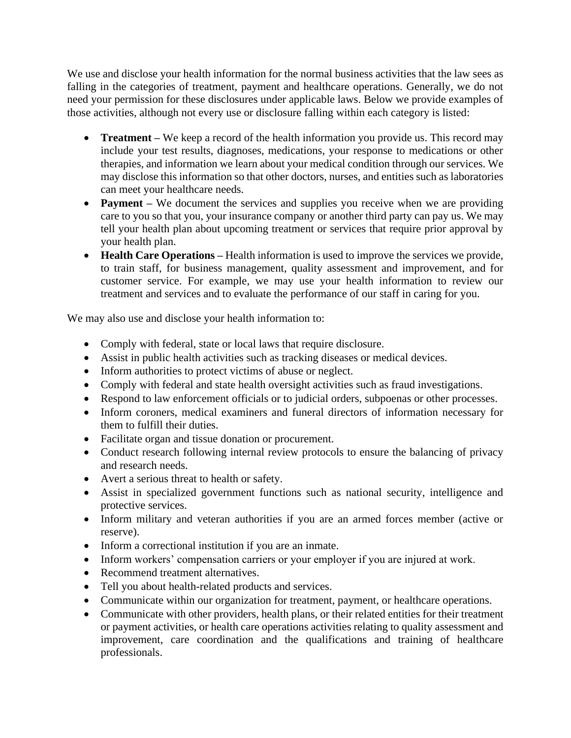We use and disclose your health information for the normal business activities that the law sees as falling in the categories of treatment, payment and healthcare operations. Generally, we do not need your permission for these disclosures under applicable laws. Below we provide examples of those activities, although not every use or disclosure falling within each category is listed:

- **Treatment –** We keep a record of the health information you provide us. This record may include your test results, diagnoses, medications, your response to medications or other therapies, and information we learn about your medical condition through our services. We may disclose this information so that other doctors, nurses, and entities such as laboratories can meet your healthcare needs.
- **Payment** We document the services and supplies you receive when we are providing care to you so that you, your insurance company or another third party can pay us. We may tell your health plan about upcoming treatment or services that require prior approval by your health plan.
- **Health Care Operations** Health information is used to improve the services we provide, to train staff, for business management, quality assessment and improvement, and for customer service. For example, we may use your health information to review our treatment and services and to evaluate the performance of our staff in caring for you.

We may also use and disclose your health information to:

- Comply with federal, state or local laws that require disclosure.
- Assist in public health activities such as tracking diseases or medical devices.
- Inform authorities to protect victims of abuse or neglect.
- Comply with federal and state health oversight activities such as fraud investigations.
- Respond to law enforcement officials or to judicial orders, subpoenas or other processes.
- Inform coroners, medical examiners and funeral directors of information necessary for them to fulfill their duties.
- Facilitate organ and tissue donation or procurement.
- Conduct research following internal review protocols to ensure the balancing of privacy and research needs.
- Avert a serious threat to health or safety.
- Assist in specialized government functions such as national security, intelligence and protective services.
- Inform military and veteran authorities if you are an armed forces member (active or reserve).
- Inform a correctional institution if you are an inmate.
- Inform workers' compensation carriers or your employer if you are injured at work.
- Recommend treatment alternatives.
- Tell you about health-related products and services.
- Communicate within our organization for treatment, payment, or healthcare operations.
- Communicate with other providers, health plans, or their related entities for their treatment or payment activities, or health care operations activities relating to quality assessment and improvement, care coordination and the qualifications and training of healthcare professionals.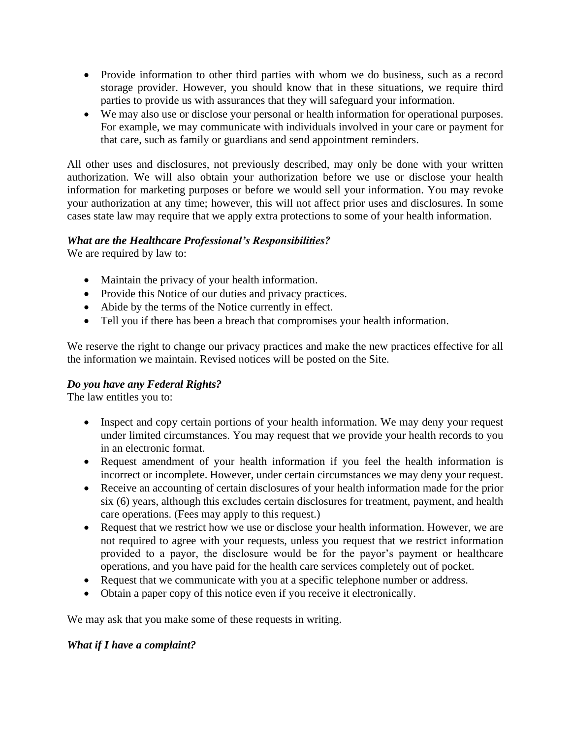- Provide information to other third parties with whom we do business, such as a record storage provider. However, you should know that in these situations, we require third parties to provide us with assurances that they will safeguard your information.
- We may also use or disclose your personal or health information for operational purposes. For example, we may communicate with individuals involved in your care or payment for that care, such as family or guardians and send appointment reminders.

All other uses and disclosures, not previously described, may only be done with your written authorization. We will also obtain your authorization before we use or disclose your health information for marketing purposes or before we would sell your information. You may revoke your authorization at any time; however, this will not affect prior uses and disclosures. In some cases state law may require that we apply extra protections to some of your health information.

## *What are the Healthcare Professional's Responsibilities?*

We are required by law to:

- Maintain the privacy of your health information.
- Provide this Notice of our duties and privacy practices.
- Abide by the terms of the Notice currently in effect.
- Tell you if there has been a breach that compromises your health information.

We reserve the right to change our privacy practices and make the new practices effective for all the information we maintain. Revised notices will be posted on the Site.

## *Do you have any Federal Rights?*

The law entitles you to:

- Inspect and copy certain portions of your health information. We may deny your request under limited circumstances. You may request that we provide your health records to you in an electronic format.
- Request amendment of your health information if you feel the health information is incorrect or incomplete. However, under certain circumstances we may deny your request.
- Receive an accounting of certain disclosures of your health information made for the prior six (6) years, although this excludes certain disclosures for treatment, payment, and health care operations. (Fees may apply to this request.)
- Request that we restrict how we use or disclose your health information. However, we are not required to agree with your requests, unless you request that we restrict information provided to a payor, the disclosure would be for the payor's payment or healthcare operations, and you have paid for the health care services completely out of pocket.
- Request that we communicate with you at a specific telephone number or address.
- Obtain a paper copy of this notice even if you receive it electronically.

We may ask that you make some of these requests in writing.

#### *What if I have a complaint?*